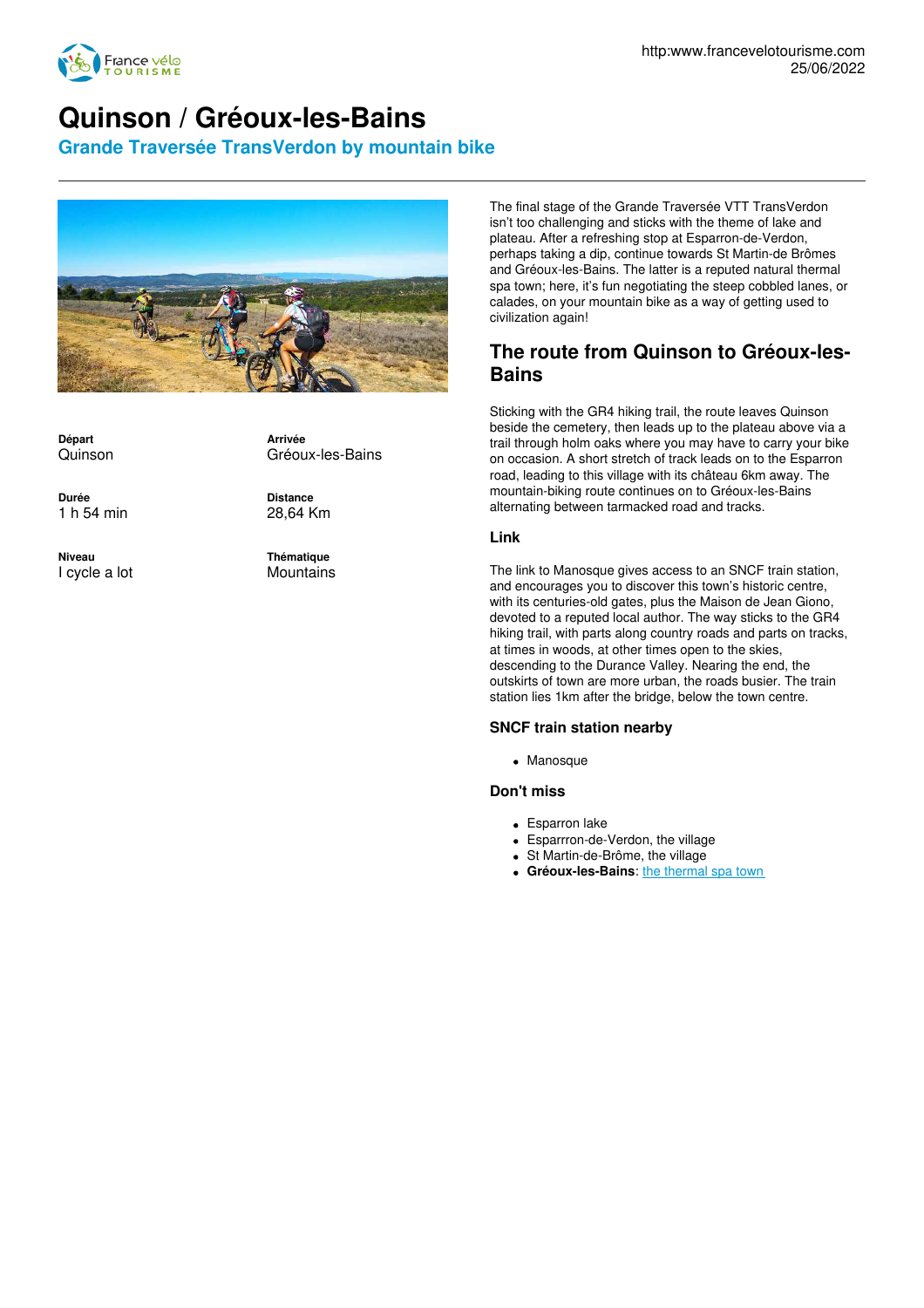

# **Quinson / Gréoux-les-Bains**

**Grande Traversée TransVerdon by mountain bike**



**Départ** Quinson

**Arrivée** Gréoux-les-Bains

**Durée** 1 h 54 min

**Niveau** I cycle a lot **Distance** 28,64 Km

**Thématique Mountains** 

The final stage of the Grande Traversée VTT TransVerdon isn't too challenging and sticks with the theme of lake and plateau. After a refreshing stop at Esparron-de-Verdon, perhaps taking a dip, continue towards St Martin-de Brômes and Gréoux-les-Bains. The latter is a reputed natural thermal spa town; here, it's fun negotiating the steep cobbled lanes, or calades, on your mountain bike as a way of getting used to civilization again!

### **The route from Quinson to Gréoux-les-Bains**

Sticking with the GR4 hiking trail, the route leaves Quinson beside the cemetery, then leads up to the plateau above via a trail through holm oaks where you may have to carry your bike on occasion. A short stretch of track leads on to the Esparron road, leading to this village with its château 6km away. The mountain-biking route continues on to Gréoux-les-Bains alternating between tarmacked road and tracks.

#### **Link**

The link to Manosque gives access to an SNCF train station, and encourages you to discover this town's historic centre, with its centuries-old gates, plus the Maison de Jean Giono, devoted to a reputed local author. The way sticks to the GR4 hiking trail, with parts along country roads and parts on tracks, at times in woods, at other times open to the skies, descending to the Durance Valley. Nearing the end, the outskirts of town are more urban, the roads busier. The train station lies 1km after the bridge, below the town centre.

#### **SNCF train station nearby**

Manosque

#### **Don't miss**

- Esparron lake
- Esparrron-de-Verdon, the village
- St Martin-de-Brôme, the village
- **Gréoux-les-Bains:** the [thermal](https://www.chainethermale.fr/greoux-les-bains) spa town